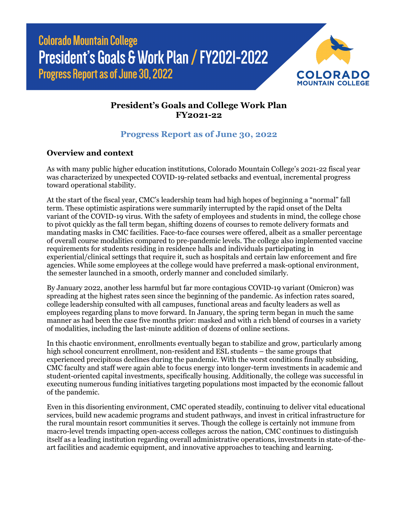**Colorado Mountain College** President's Goals & Work Plan / FY2021-2022 **Progress Report as of June 30, 2022** 



## **President's Goals and College Work Plan FY2021-22**

## **Progress Report as of June 30, 2022**

## **Overview and context**

As with many public higher education institutions, Colorado Mountain College's 2021-22 fiscal year was characterized by unexpected COVID-19-related setbacks and eventual, incremental progress toward operational stability.

At the start of the fiscal year, CMC's leadership team had high hopes of beginning a "normal" fall term. These optimistic aspirations were summarily interrupted by the rapid onset of the Delta variant of the COVID-19 virus. With the safety of employees and students in mind, the college chose to pivot quickly as the fall term began, shifting dozens of courses to remote delivery formats and mandating masks in CMC facilities. Face-to-face courses were offered, albeit as a smaller percentage of overall course modalities compared to pre-pandemic levels. The college also implemented vaccine requirements for students residing in residence halls and individuals participating in experiential/clinical settings that require it, such as hospitals and certain law enforcement and fire agencies. While some employees at the college would have preferred a mask-optional environment, the semester launched in a smooth, orderly manner and concluded similarly.

By January 2022, another less harmful but far more contagious COVID-19 variant (Omicron) was spreading at the highest rates seen since the beginning of the pandemic. As infection rates soared, college leadership consulted with all campuses, functional areas and faculty leaders as well as employees regarding plans to move forward. In January, the spring term began in much the same manner as had been the case five months prior: masked and with a rich blend of courses in a variety of modalities, including the last-minute addition of dozens of online sections.

In this chaotic environment, enrollments eventually began to stabilize and grow, particularly among high school concurrent enrollment, non-resident and ESL students – the same groups that experienced precipitous declines during the pandemic. With the worst conditions finally subsiding, CMC faculty and staff were again able to focus energy into longer-term investments in academic and student-oriented capital investments, specifically housing. Additionally, the college was successful in executing numerous funding initiatives targeting populations most impacted by the economic fallout of the pandemic.

Even in this disorienting environment, CMC operated steadily, continuing to deliver vital educational services, build new academic programs and student pathways, and invest in critical infrastructure for the rural mountain resort communities it serves. Though the college is certainly not immune from macro-level trends impacting open-access colleges across the nation, CMC continues to distinguish itself as a leading institution regarding overall administrative operations, investments in state-of-theart facilities and academic equipment, and innovative approaches to teaching and learning.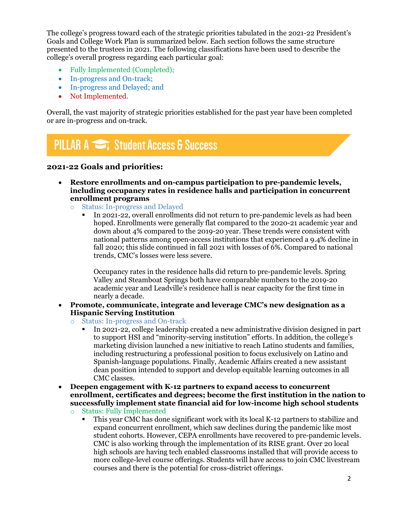The college's progress toward each of the strategic priorities tabulated in the 2021-22 President's Goals and College Work Plan is summarized below. Each section follows the same structure presented to the trustees in 2021. The following classifications have been used to describe the college's overall progress regarding each particular goal:

- Fully Implemented (Completed);
- In-progress and On-track;
- In-progress and Delayed; and
- Not Implemented.

Overall, the vast majority of strategic priorities established for the past year have been completed or are in-progress and on-track.

# **PILLAR A Student Access & Success**

#### **2021-22 Goals and priorities:**

- **Restore enrollments and on-campus participation to pre-pandemic levels, including occupancy rates in residence halls and participation in concurrent enrollment programs**
	- o Status: In-progress and Delayed
		- In 2021-22, overall enrollments did not return to pre-pandemic levels as had been hoped. Enrollments were generally flat compared to the 2020-21 academic year and down about 4% compared to the 2019-20 year. These trends were consistent with national patterns among open-access institutions that experienced a 9.4% decline in fall 2020; this slide continued in fall 2021 with losses of 6%. Compared to national trends, CMC's losses were less severe.

Occupancy rates in the residence halls did return to pre-pandemic levels. Spring Valley and Steamboat Springs both have comparable numbers to the 2019-20 academic year and Leadville's residence hall is near capacity for the first time in nearly a decade.

- **Promote, communicate, integrate and leverage CMC's new designation as a Hispanic Serving Institution**
	- o Status: In-progress and On-track
		- In 2021-22, college leadership created a new administrative division designed in part to support HSI and "minority-serving institution" efforts. In addition, the college's marketing division launched a new initiative to reach Latino students and families, including restructuring a professional position to focus exclusively on Latino and Spanish-language populations. Finally, Academic Affairs created a new assistant dean position intended to support and develop equitable learning outcomes in all CMC classes.
- **Deepen engagement with K-12 partners to expand access to concurrent enrollment, certificates and degrees; become the first institution in the nation to successfully implement state financial aid for low-income high school students**
	- o Status: Fully Implemented
		- This year CMC has done significant work with its local K-12 partners to stabilize and expand concurrent enrollment, which saw declines during the pandemic like most student cohorts. However, CEPA enrollments have recovered to pre-pandemic levels. CMC is also working through the implementation of its RISE grant. Over 20 local high schools are having tech enabled classrooms installed that will provide access to more college-level course offerings. Students will have access to join CMC livestream courses and there is the potential for cross-district offerings.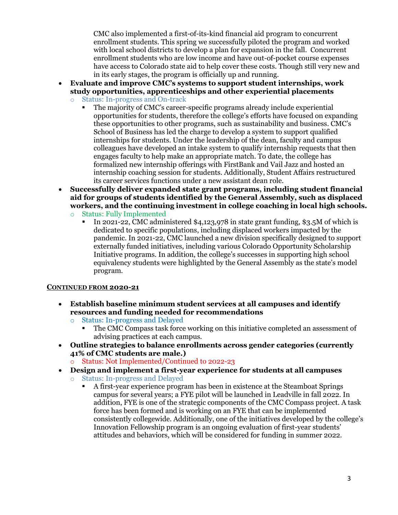CMC also implemented a first-of-its-kind financial aid program to concurrent enrollment students. This spring we successfully piloted the program and worked with local school districts to develop a plan for expansion in the fall. Concurrent enrollment students who are low income and have out-of-pocket course expenses have access to Colorado state aid to help cover these costs. Though still very new and in its early stages, the program is officially up and running.

- **Evaluate and improve CMC's systems to support student internships, work study opportunities, apprenticeships and other experiential placements**
	- o Status: In-progress and On-track
		- The majority of CMC's career-specific programs already include experiential opportunities for students, therefore the college's efforts have focused on expanding these opportunities to other programs, such as sustainability and business. CMC's School of Business has led the charge to develop a system to support qualified internships for students. Under the leadership of the dean, faculty and campus colleagues have developed an intake system to qualify internship requests that then engages faculty to help make an appropriate match. To date, the college has formalized new internship offerings with FirstBank and Vail Jazz and hosted an internship coaching session for students. Additionally, Student Affairs restructured its career services functions under a new assistant dean role.
- **Successfully deliver expanded state grant programs, including student financial aid for groups of students identified by the General Assembly, such as displaced workers, and the continuing investment in college coaching in local high schools.**
	- o Status: Fully Implemented
		- In 2021-22, CMC administered \$4,123,978 in state grant funding, \$3.5M of which is dedicated to specific populations, including displaced workers impacted by the pandemic. In 2021-22, CMC launched a new division specifically designed to support externally funded initiatives, including various Colorado Opportunity Scholarship Initiative programs. In addition, the college's successes in supporting high school equivalency students were highlighted by the General Assembly as the state's model program.

#### **CONTINUED FROM 2020-21**

- **Establish baseline minimum student services at all campuses and identify resources and funding needed for recommendations**
	- o Status: In-progress and Delayed
		- The CMC Compass task force working on this initiative completed an assessment of advising practices at each campus.
- **Outline strategies to balance enrollments across gender categories (currently 41% of CMC students are male.)** 
	- o Status: Not Implemented/Continued to 2022-23
- **Design and implement a first-year experience for students at all campuses**
	- o Status: In-progress and Delayed
		- A first-year experience program has been in existence at the Steamboat Springs campus for several years; a FYE pilot will be launched in Leadville in fall 2022. In addition, FYE is one of the strategic components of the CMC Compass project. A task force has been formed and is working on an FYE that can be implemented consistently collegewide. Additionally, one of the initiatives developed by the college's Innovation Fellowship program is an ongoing evaluation of first-year students' attitudes and behaviors, which will be considered for funding in summer 2022.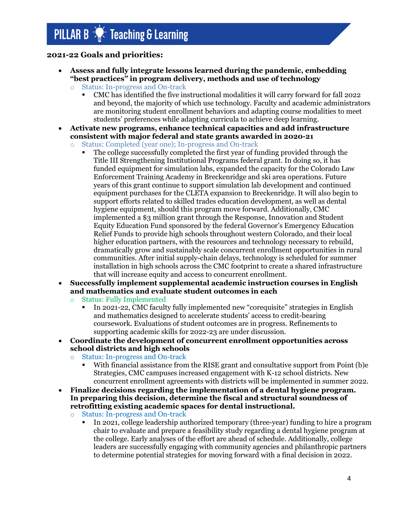### **2021-22 Goals and priorities:**

- **Assess and fully integrate lessons learned during the pandemic, embedding "best practices" in program delivery, methods and use of technology**
	- Status: In-progress and On-track
		- CMC has identified the five instructional modalities it will carry forward for fall 2022 and beyond, the majority of which use technology. Faculty and academic administrators are monitoring student enrollment behaviors and adapting course modalities to meet students' preferences while adapting curricula to achieve deep learning.
- **Activate new programs, enhance technical capacities and add infrastructure consistent with major federal and state grants awarded in 2020-21**
	- o Status: Completed (year one); In-progress and On-track
		- The college successfully completed the first year of funding provided through the Title III Strengthening Institutional Programs federal grant. In doing so, it has funded equipment for simulation labs, expanded the capacity for the Colorado Law Enforcement Training Academy in Breckenridge and ski area operations. Future years of this grant continue to support simulation lab development and continued equipment purchases for the CLETA expansion to Breckenridge. It will also begin to support efforts related to skilled trades education development, as well as dental hygiene equipment, should this program move forward. Additionally, CMC implemented a \$3 million grant through the Response, Innovation and Student Equity Education Fund sponsored by the federal Governor's Emergency Education Relief Funds to provide high schools throughout western Colorado, and their local higher education partners, with the resources and technology necessary to rebuild, dramatically grow and sustainably scale concurrent enrollment opportunities in rural communities. After initial supply-chain delays, technology is scheduled for summer installation in high schools across the CMC footprint to create a shared infrastructure that will increase equity and access to concurrent enrollment.
- **Successfully implement supplemental academic instruction courses in English and mathematics and evaluate student outcomes in each**
	- o Status: Fully Implemented
		- In 2021-22, CMC faculty fully implemented new "corequisite" strategies in English and mathematics designed to accelerate students' access to credit-bearing coursework. Evaluations of student outcomes are in progress. Refinements to supporting academic skills for 2022-23 are under discussion.
- **Coordinate the development of concurrent enrollment opportunities across school districts and high schools**
	- o Status: In-progress and On-track
		- With financial assistance from the RISE grant and consultative support from Point (b)e Strategies, CMC campuses increased engagement with K-12 school districts. New concurrent enrollment agreements with districts will be implemented in summer 2022.
- **Finalize decisions regarding the implementation of a dental hygiene program. In preparing this decision, determine the fiscal and structural soundness of retrofitting existing academic spaces for dental instructional.**
	- o Status: In-progress and On-track
		- In 2021, college leadership authorized temporary (three-year) funding to hire a program chair to evaluate and prepare a feasibility study regarding a dental hygiene program at the college. Early analyses of the effort are ahead of schedule. Additionally, college leaders are successfully engaging with community agencies and philanthropic partners to determine potential strategies for moving forward with a final decision in 2022.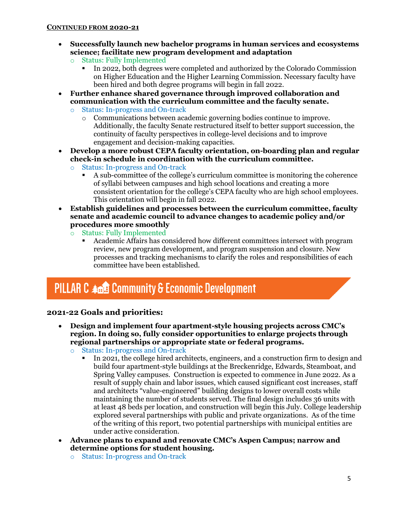- **Successfully launch new bachelor programs in human services and ecosystems science; facilitate new program development and adaptation**
	- o Status: Fully Implemented
		- In 2022, both degrees were completed and authorized by the Colorado Commission on Higher Education and the Higher Learning Commission. Necessary faculty have been hired and both degree programs will begin in fall 2022.
- **Further enhance shared governance through improved collaboration and communication with the curriculum committee and the faculty senate.**
	- o Status: In-progress and On-track
		- o Communications between academic governing bodies continue to improve. Additionally, the faculty Senate restructured itself to better support succession, the continuity of faculty perspectives in college-level decisions and to improve engagement and decision-making capacities.
- **Develop a more robust CEPA faculty orientation, on-boarding plan and regular check-in schedule in coordination with the curriculum committee.**
	- o Status: In-progress and On-track
		- A sub-committee of the college's curriculum committee is monitoring the coherence of syllabi between campuses and high school locations and creating a more consistent orientation for the college's CEPA faculty who are high school employees. This orientation will begin in fall 2022.
- **Establish guidelines and processes between the curriculum committee, faculty senate and academic council to advance changes to academic policy and/or procedures more smoothly**
	- o Status: Fully Implemented
		- Academic Affairs has considered how different committees intersect with program review, new program development, and program suspension and closure. New processes and tracking mechanisms to clarify the roles and responsibilities of each committee have been established.

# **PILLAR C 400 Community & Economic Development**

### **2021-22 Goals and priorities:**

- **Design and implement four apartment-style housing projects across CMC's region. In doing so, fully consider opportunities to enlarge projects through regional partnerships or appropriate state or federal programs.**
	- o Status: In-progress and On-track
		- In 2021, the college hired architects, engineers, and a construction firm to design and build four apartment-style buildings at the Breckenridge, Edwards, Steamboat, and Spring Valley campuses. Construction is expected to commence in June 2022. As a result of supply chain and labor issues, which caused significant cost increases, staff and architects "value-engineered" building designs to lower overall costs while maintaining the number of students served. The final design includes 36 units with at least 48 beds per location, and construction will begin this July. College leadership explored several partnerships with public and private organizations. As of the time of the writing of this report, two potential partnerships with municipal entities are under active consideration.
- **Advance plans to expand and renovate CMC's Aspen Campus; narrow and determine options for student housing.**
	- o Status: In-progress and On-track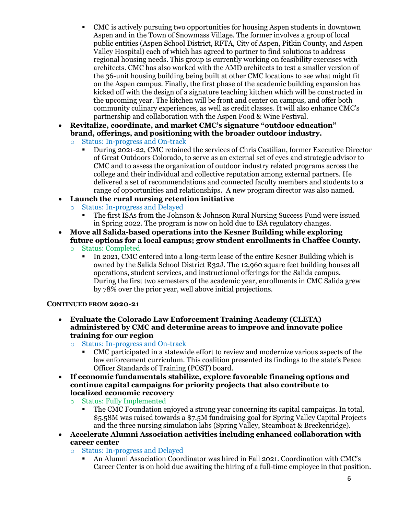- CMC is actively pursuing two opportunities for housing Aspen students in downtown Aspen and in the Town of Snowmass Village. The former involves a group of local public entities (Aspen School District, RFTA, City of Aspen, Pitkin County, and Aspen Valley Hospital) each of which has agreed to partner to find solutions to address regional housing needs. This group is currently working on feasibility exercises with architects. CMC has also worked with the AMD architects to test a smaller version of the 36-unit housing building being built at other CMC locations to see what might fit on the Aspen campus. Finally, the first phase of the academic building expansion has kicked off with the design of a signature teaching kitchen which will be constructed in the upcoming year. The kitchen will be front and center on campus, and offer both community culinary experiences, as well as credit classes. It will also enhance CMC's partnership and collaboration with the Aspen Food & Wine Festival.
- **Revitalize, coordinate, and market CMC's signature "outdoor education" brand, offerings, and positioning with the broader outdoor industry.**
	- o Status: In-progress and On-track
		- During 2021-22, CMC retained the services of Chris Castilian, former Executive Director of Great Outdoors Colorado, to serve as an external set of eyes and strategic advisor to CMC and to assess the organization of outdoor industry related programs across the college and their individual and collective reputation among external partners. He delivered a set of recommendations and connected faculty members and students to a range of opportunities and relationships. A new program director was also named.
- **Launch the rural nursing retention initiative**
	- o Status: In-progress and Delayed
		- The first ISAs from the Johnson & Johnson Rural Nursing Success Fund were issued in Spring 2022. The program is now on hold due to ISA regulatory changes.
- **Move all Salida-based operations into the Kesner Building while exploring future options for a local campus; grow student enrollments in Chaffee County.**
	- o Status: Completed
		- In 2021, CMC entered into a long-term lease of the entire Kesner Building which is owned by the Salida School District R32J. The 12,960 square feet building houses all operations, student services, and instructional offerings for the Salida campus. During the first two semesters of the academic year, enrollments in CMC Salida grew by 78% over the prior year, well above initial projections.

#### **CONTINUED FROM 2020-21**

- **Evaluate the Colorado Law Enforcement Training Academy (CLETA) administered by CMC and determine areas to improve and innovate police training for our region**
	- o Status: In-progress and On-track
		- CMC participated in a statewide effort to review and modernize various aspects of the law enforcement curriculum. This coalition presented its findings to the state's Peace Officer Standards of Training (POST) board.
- **If economic fundamentals stabilize, explore favorable financing options and continue capital campaigns for priority projects that also contribute to localized economic recovery**
	- o Status: Fully Implemented
		- The CMC Foundation enjoyed a strong year concerning its capital campaigns. In total, \$5.58M was raised towards a \$7.5M fundraising goal for Spring Valley Capital Projects and the three nursing simulation labs (Spring Valley, Steamboat & Breckenridge).
- **Accelerate Alumni Association activities including enhanced collaboration with career center**
	- o Status: In-progress and Delayed
		- An Alumni Association Coordinator was hired in Fall 2021. Coordination with CMC's Career Center is on hold due awaiting the hiring of a full-time employee in that position.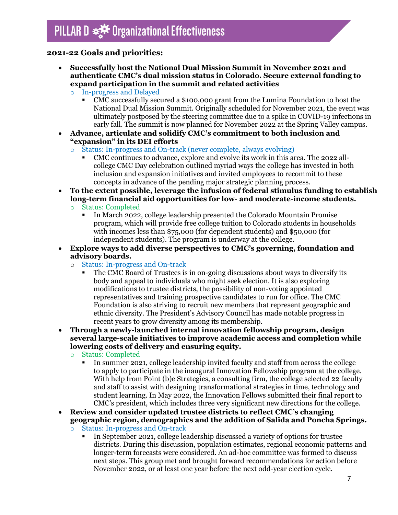### **2021-22 Goals and priorities:**

- **Successfully host the National Dual Mission Summit in November 2021 and authenticate CMC's dual mission status in Colorado. Secure external funding to expand participation in the summit and related activities**
	- o In-progress and Delayed
		- CMC successfully secured a \$100,000 grant from the Lumina Foundation to host the National Dual Mission Summit. Originally scheduled for November 2021, the event was ultimately postposed by the steering committee due to a spike in COVID-19 infections in early fall. The summit is now planned for November 2022 at the Spring Valley campus.
- **Advance, articulate and solidify CMC's commitment to both inclusion and "expansion" in its DEI efforts** 
	- o Status: In-progress and On-track (never complete, always evolving)
		- CMC continues to advance, explore and evolve its work in this area. The 2022 allcollege CMC Day celebration outlined myriad ways the college has invested in both inclusion and expansion initiatives and invited employees to recommit to these concepts in advance of the pending major strategic planning process.
- **To the extent possible, leverage the infusion of federal stimulus funding to establish long-term financial aid opportunities for low- and moderate-income students.**
	- o Status: Completed
		- In March 2022, college leadership presented the Colorado Mountain Promise program, which will provide free college tuition to Colorado students in households with incomes less than \$75,000 (for dependent students) and \$50,000 (for independent students). The program is underway at the college.
- **Explore ways to add diverse perspectives to CMC's governing, foundation and advisory boards.** 
	- o Status: In-progress and On-track
		- The CMC Board of Trustees is in on-going discussions about ways to diversify its body and appeal to individuals who might seek election. It is also exploring modifications to trustee districts, the possibility of non-voting appointed representatives and training prospective candidates to run for office. The CMC Foundation is also striving to recruit new members that represent geographic and ethnic diversity. The President's Advisory Council has made notable progress in recent years to grow diversity among its membership.
- **Through a newly-launched internal innovation fellowship program, design several large-scale initiatives to improve academic access and completion while lowering costs of delivery and ensuring equity.** 
	- o Status: Completed
		- In summer 2021, college leadership invited faculty and staff from across the college to apply to participate in the inaugural Innovation Fellowship program at the college. With help from Point (b)e Strategies, a consulting firm, the college selected 22 faculty and staff to assist with designing transformational strategies in time, technology and student learning. In May 2022, the Innovation Fellows submitted their final report to CMC's president, which includes three very significant new directions for the college.
- **Review and consider updated trustee districts to reflect CMC's changing geographic region, demographics and the addition of Salida and Poncha Springs.** 
	- o Status: In-progress and On-track
		- In September 2021, college leadership discussed a variety of options for trustee districts. During this discussion, population estimates, regional economic patterns and longer-term forecasts were considered. An ad-hoc committee was formed to discuss next steps. This group met and brought forward recommendations for action before November 2022, or at least one year before the next odd-year election cycle.